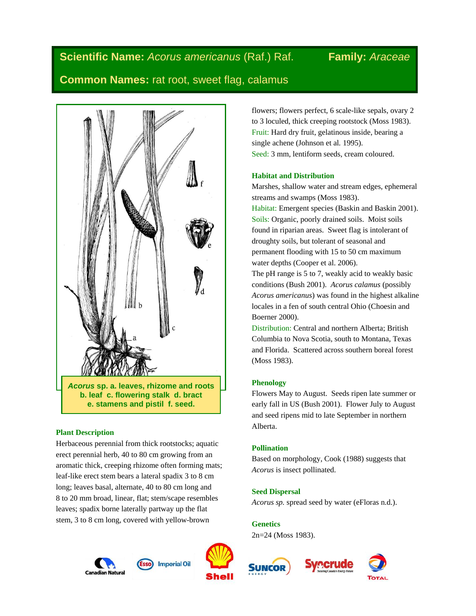# **Scientific Name:** *Acorus americanus* (Raf.) Raf. **Family:** *Araceae*

# **Common Names:** rat root, sweet flag, calamus



# **Plant Description**

Herbaceous perennial from thick rootstocks; aquatic erect perennial herb, 40 to 80 cm growing from an aromatic thick, creeping rhizome often forming mats; leaf-like erect stem bears a lateral spadix 3 to 8 cm long; leaves basal, alternate, 40 to 80 cm long and 8 to 20 mm broad, linear, flat; stem/scape resembles leaves; spadix borne laterally partway up the flat stem, 3 to 8 cm long, covered with yellow-brown





flowers; flowers perfect, 6 scale-like sepals, ovary 2 to 3 loculed, thick creeping rootstock (Moss 1983). Fruit: Hard dry fruit, gelatinous inside, bearing a single achene (Johnson et al*.* 1995). Seed: 3 mm, lentiform seeds, cream coloured.

# **Habitat and Distribution**

Marshes, shallow water and stream edges, ephemeral streams and swamps (Moss 1983).

Habitat: Emergent species (Baskin and Baskin 2001). Soils: Organic, poorly drained soils. Moist soils found in riparian areas. Sweet flag is intolerant of droughty soils, but tolerant of seasonal and permanent flooding with 15 to 50 cm maximum water depths (Cooper et al. 2006).

The pH range is 5 to 7, weakly acid to weakly basic conditions (Bush 2001). *Acorus calamus* (possibly *Acorus americanus*) was found in the highest alkaline locales in a fen of south central Ohio (Choesin and Boerner 2000).

Distribution: Central and northern Alberta; British Columbia to Nova Scotia, south to Montana, Texas and Florida. Scattered across southern boreal forest (Moss 1983).

# **Phenology**

Flowers May to August. Seeds ripen late summer or early fall in US (Bush 2001). Flower July to August and seed ripens mid to late September in northern Alberta.

# **Pollination**

Based on morphology, Cook (1988) suggests that *Acorus* is insect pollinated.

# **Seed Dispersal**

*Acorus sp.* spread seed by water (eFloras n.d.).

**Genetics**

2n=24 (Moss 1983).



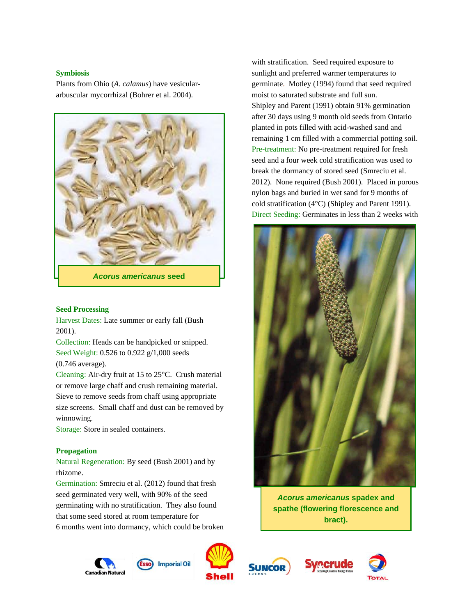## **Symbiosis**

Plants from Ohio (*A. calamus*) have vesiculararbuscular mycorrhizal (Bohrer et al. 2004).



#### **Seed Processing**

Harvest Dates: Late summer or early fall (Bush 2001).

Collection: Heads can be handpicked or snipped. Seed Weight: 0.526 to 0.922 g/1,000 seeds (0.746 average).

Cleaning: Air-dry fruit at 15 to 25°C. Crush material or remove large chaff and crush remaining material. Sieve to remove seeds from chaff using appropriate size screens. Small chaff and dust can be removed by winnowing.

Storage: Store in sealed containers.

#### **Propagation**

# Natural Regeneration: By seed (Bush 2001) and by rhizome.

Germination: Smreciu et al. (2012) found that fresh seed germinated very well, with 90% of the seed germinating with no stratification. They also found that some seed stored at room temperature for 6 months went into dormancy, which could be broken

Canadian Natura



**Imperial Oil** 



with stratification. Seed required exposure to sunlight and preferred warmer temperatures to germinate. Motley (1994) found that seed required moist to saturated substrate and full sun. Shipley and Parent (1991) obtain 91% germination after 30 days using 9 month old seeds from Ontario planted in pots filled with acid-washed sand and remaining 1 cm filled with a commercial potting soil. Pre-treatment: No pre-treatment required for fresh seed and a four week cold stratification was used to break the dormancy of stored seed (Smreciu et al. 2012). None required (Bush 2001). Placed in porous nylon bags and buried in wet sand for 9 months of cold stratification (4°C) (Shipley and Parent 1991). Direct Seeding: Germinates in less than 2 weeks with



*Acorus americanus* **spadex and spathe (flowering florescence and bract).**



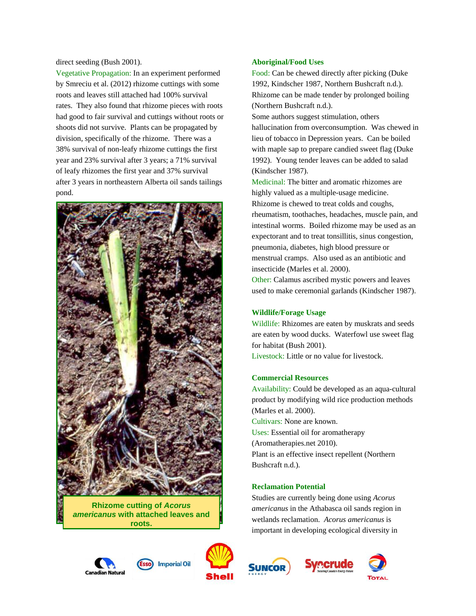direct seeding (Bush 2001).

Vegetative Propagation: In an experiment performed by Smreciu et al. (2012) rhizome cuttings with some roots and leaves still attached had 100% survival rates. They also found that rhizome pieces with roots had good to fair survival and cuttings without roots or shoots did not survive. Plants can be propagated by division, specifically of the rhizome. There was a 38% survival of non-leafy rhizome cuttings the first year and 23% survival after 3 years; a 71% survival of leafy rhizomes the first year and 37% survival after 3 years in northeastern Alberta oil sands tailings pond.



**Rhizome cutting of** *Acorus americanus* **with attached leaves and roots.**

#### **Aboriginal/Food Uses**

Food: Can be chewed directly after picking (Duke 1992, Kindscher 1987, Northern Bushcraft n.d.). Rhizome can be made tender by prolonged boiling (Northern Bushcraft n.d.).

Some authors suggest stimulation, others hallucination from overconsumption. Was chewed in lieu of tobacco in Depression years. Can be boiled with maple sap to prepare candied sweet flag (Duke 1992). Young tender leaves can be added to salad (Kindscher 1987).

Medicinal: The bitter and aromatic rhizomes are highly valued as a multiple-usage medicine. Rhizome is chewed to treat colds and coughs, rheumatism, toothaches, headaches, muscle pain, and intestinal worms. Boiled rhizome may be used as an expectorant and to treat tonsillitis, sinus congestion, pneumonia, diabetes, high blood pressure or menstrual cramps. Also used as an antibiotic and insecticide (Marles et al. 2000).

Other: Calamus ascribed mystic powers and leaves used to make ceremonial garlands (Kindscher 1987).

# **Wildlife/Forage Usage**

Wildlife: Rhizomes are eaten by muskrats and seeds are eaten by wood ducks. Waterfowl use sweet flag for habitat (Bush 2001).

Livestock: Little or no value for livestock.

#### **Commercial Resources**

Availability: Could be developed as an aqua-cultural product by modifying wild rice production methods (Marles et al. 2000). Cultivars: None are known. Uses: Essential oil for aromatherapy (Aromatherapies.net 2010). Plant is an effective insect repellent (Northern Bushcraft n.d.).

#### **Reclamation Potential**

Studies are currently being done using *Acorus americanus* in the Athabasca oil sands region in wetlands reclamation. *Acorus americanus* is important in developing ecological diversity in









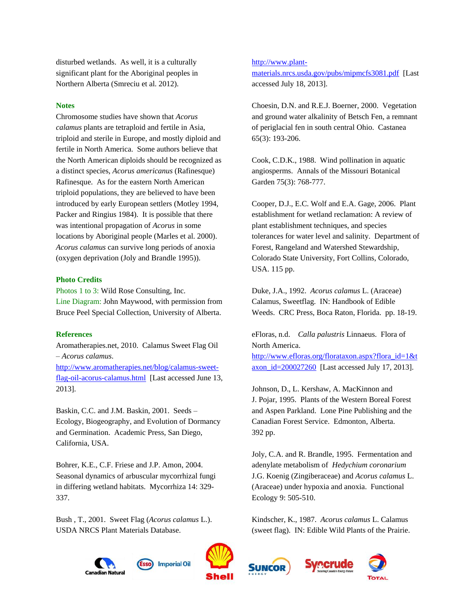disturbed wetlands. As well, it is a culturally significant plant for the Aboriginal peoples in Northern Alberta (Smreciu et al. 2012).

#### **Notes**

Chromosome studies have shown that *Acorus calamus* plants are tetraploid and fertile in Asia, triploid and sterile in Europe, and mostly diploid and fertile in North America. Some authors believe that the North American diploids should be recognized as a distinct species, *Acorus americanus* (Rafinesque) Rafinesque. As for the eastern North American triploid populations, they are believed to have been introduced by early European settlers (Motley 1994, Packer and Ringius 1984). It is possible that there was intentional propagation of *Acorus* in some locations by Aboriginal people (Marles et al. 2000). *Acorus calamus* can survive long periods of anoxia (oxygen deprivation (Joly and Brandle 1995)).

### **Photo Credits**

Photos 1 to 3: Wild Rose Consulting, Inc. Line Diagram: John Maywood, with permission from Bruce Peel Special Collection, University of Alberta.

#### **References**

Aromatherapies.net, 2010. Calamus Sweet Flag Oil – *Acorus calamus*.

[http://www.aromatherapies.net/blog/calamus-sweet](http://www.aromatherapies.net/blog/calamus-sweet-flag-oil-acorus-calamus.html)[flag-oil-acorus-calamus.html](http://www.aromatherapies.net/blog/calamus-sweet-flag-oil-acorus-calamus.html) [Last accessed June 13, 2013].

Baskin, C.C. and J.M. Baskin, 2001. Seeds – Ecology, Biogeography, and Evolution of Dormancy and Germination. Academic Press, San Diego, California, USA.

Bohrer, K.E., C.F. Friese and J.P. Amon, 2004. Seasonal dynamics of arbuscular mycorrhizal fungi in differing wetland habitats. Mycorrhiza 14: 329- 337.

Bush , T., 2001. Sweet Flag (*Acorus calamus* L.). USDA NRCS Plant Materials Database.

Canadian Natura



#### [http://www.plant-](http://www.plant-materials.nrcs.usda.gov/pubs/mipmcfs3081.pdf)

[materials.nrcs.usda.gov/pubs/mipmcfs3081.pdf](http://www.plant-materials.nrcs.usda.gov/pubs/mipmcfs3081.pdf) [Last accessed July 18, 2013].

Choesin, D.N. and R.E.J. Boerner, 2000. Vegetation and ground water alkalinity of Betsch Fen, a remnant of periglacial fen in south central Ohio. Castanea 65(3): 193-206.

Cook, C.D.K., 1988. Wind pollination in aquatic angiosperms. Annals of the Missouri Botanical Garden 75(3): 768-777.

Cooper, D.J., E.C. Wolf and E.A. Gage, 2006. Plant establishment for wetland reclamation: A review of plant establishment techniques, and species tolerances for water level and salinity. Department of Forest, Rangeland and Watershed Stewardship, Colorado State University, Fort Collins, Colorado, USA. 115 pp.

Duke, J.A., 1992. *Acorus calamus* L. (Araceae) Calamus, Sweetflag. IN: Handbook of Edible Weeds. CRC Press, Boca Raton, Florida. pp. 18-19.

eFloras, n.d. *Calla palustris* Linnaeus. Flora of North America. [http://www.efloras.org/florataxon.aspx?flora\\_id=1&t](http://www.efloras.org/florataxon.aspx?flora_id=1&taxon_id=200027260) [axon\\_id=200027260](http://www.efloras.org/florataxon.aspx?flora_id=1&taxon_id=200027260) [Last accessed July 17, 2013].

Johnson, D., L. Kershaw, A. MacKinnon and J. Pojar, 1995. Plants of the Western Boreal Forest and Aspen Parkland. Lone Pine Publishing and the Canadian Forest Service. Edmonton, Alberta. 392 pp.

Joly, C.A. and R. Brandle, 1995. Fermentation and adenylate metabolism of *Hedychium coronarium* J.G. Koenig (Zingiberaceae) and *Acorus calamus* L. (Araceae) under hypoxia and anoxia. Functional Ecology 9: 505-510.

Kindscher, K., 1987. *Acorus calamus* L. Calamus (sweet flag). IN: Edible Wild Plants of the Prairie.